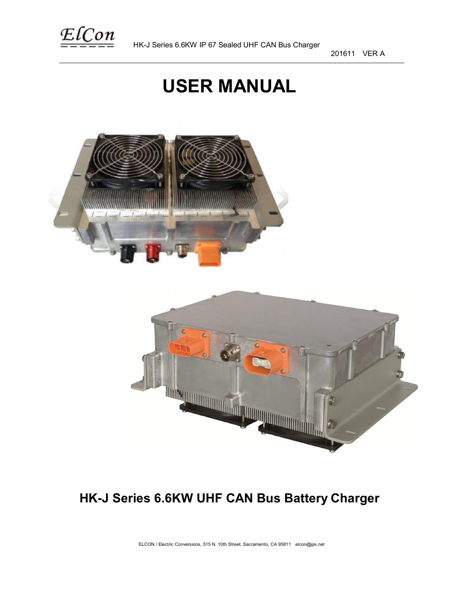

201611 VER A

# **USER MANUAL**





# **HK-J Series 6.6KW UHF CAN Bus Battery Charger**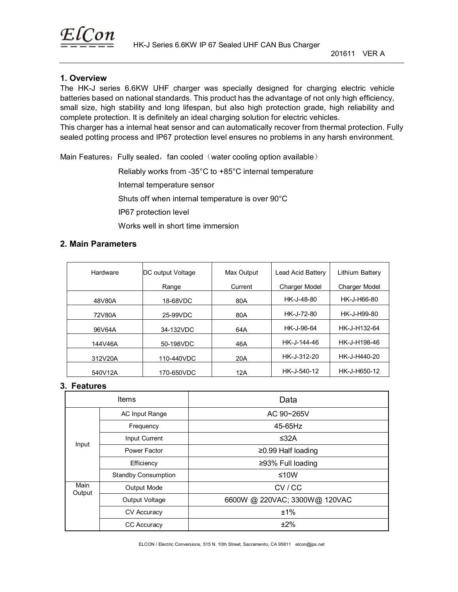

# **1. Overview**

The HK-J series 6.6KW UHF charger was specially designed for charging electric vehicle batteries based on national standards. This product has the advantage of not only high efficiency, small size, high stability and long lifespan, but also high protection grade, high reliability and complete protection. It is definitely an ideal charging solution for electric vehicles.

This charger has a internal heat sensor and can automatically recover from thermal protection. Fully sealed potting process and IP67 protection level ensures no problems in any harsh environment.

Main Features: Fully sealed, fan cooled (water cooling option available)

Reliably works from -35°C to +85°C internal temperature

Internal temperature sensor

Shuts off when internal temperature is over 90°C

IP67 protection level

Works well in short time immersion

# **2. Main Parameters**

| Hardware | DC output Voltage | Max Output | Lead Acid Battery    | Lithium Battery      |
|----------|-------------------|------------|----------------------|----------------------|
|          | Range             | Current    | <b>Charger Model</b> | <b>Charger Model</b> |
| 48V80A   | 18-68VDC          | 80A        | HK-J-48-80           | HK-J-H66-80          |
| 72V80A   | 25-99VDC          | 80A        | HK-J-72-80           | HK-J-H99-80          |
| 96V64A   | 34-132VDC         | 64A        | HK-J-96-64           | HK-J-H132-64         |
| 144V46A  | 50-198VDC         | 46A        | HK-J-144-46          | HK-J-H198-46         |
| 312V20A  | 110-440VDC        | 20A        | HK-J-312-20          | HK-J-H440-20         |
| 540V12A  | 170-650VDC        | 12A        | HK-J-540-12          | HK-J-H650-12         |

#### **3. Features**

| <b>Items</b>   |                            | Data                          |
|----------------|----------------------------|-------------------------------|
|                | <b>AC Input Range</b>      | AC 90~265V                    |
|                | Frequency                  | 45-65Hz                       |
|                | Input Current              | ≤32A                          |
| Input          | Power Factor               | ≥0.99 Half loading            |
|                | Efficiency                 | ≥93% Full loading             |
|                | <b>Standby Consumption</b> | ≤10W                          |
| Main<br>Output | <b>Output Mode</b>         | CV/CC                         |
|                | Output Voltage             | 6600W @ 220VAC; 3300W@ 120VAC |
|                | <b>CV Accuracy</b>         | ±1%                           |
|                | <b>CC Accuracy</b>         | ±2%                           |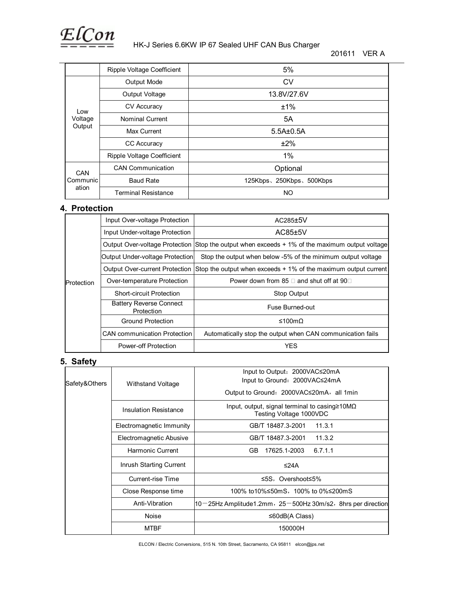

#### HK-J Series 6.6KW IP 67 Sealed UHF CAN Bus Charger

|                          | Ripple Voltage Coefficient | 5%                      |
|--------------------------|----------------------------|-------------------------|
|                          | <b>Output Mode</b>         | <b>CV</b>               |
|                          | Output Voltage             | 13.8V/27.6V             |
| Low<br>Voltage<br>Output | <b>CV Accuracy</b>         | ±1%                     |
|                          | <b>Nominal Current</b>     | 5A                      |
|                          | Max Current                | $5.5A\pm0.5A$           |
|                          | CC Accuracy                | ±2%                     |
|                          | Ripple Voltage Coefficient | $1\%$                   |
| CAN<br>Communic<br>ation | <b>CAN Communication</b>   | Optional                |
|                          | <b>Baud Rate</b>           | 125Kbps、250Kbps、500Kbps |
|                          | <b>Terminal Resistance</b> | NO                      |

#### **4. Protection**

|            | Input Over-voltage Protection                | $AC285 \pm 5V$                                                                                 |
|------------|----------------------------------------------|------------------------------------------------------------------------------------------------|
|            | Input Under-voltage Protection               | AC85±5V                                                                                        |
|            |                                              | Output Over-voltage Protection Stop the output when exceeds + 1% of the maximum output voltage |
|            | Output Under-voltage Protection              | Stop the output when below -5% of the minimum output voltage                                   |
| Protection | <b>Output Over-current Protection</b>        | Stop the output when exceeds + 1% of the maximum output current                                |
|            | Over-temperature Protection                  | Power down from 85 $\Box$ and shut off at 90 $\Box$                                            |
|            | <b>Short-circuit Protection</b>              | Stop Output                                                                                    |
|            | <b>Battery Reverse Connect</b><br>Protection | Fuse Burned-out                                                                                |
|            | Ground Protection                            | ≤100mΩ                                                                                         |
|            | <b>CAN</b> communication Protection          | Automatically stop the output when CAN communication fails                                     |
|            | Power-off Protection                         | YES                                                                                            |

### **5. Safety**

| Safety&Others | Withstand Voltage            | Input to Output: 2000VAC≤20mA<br>Input to Ground: 2000VAC≤24mA<br>Output to Ground: 2000VAC≤20mA, all 1min |
|---------------|------------------------------|------------------------------------------------------------------------------------------------------------|
|               | <b>Insulation Resistance</b> | Input, output, signal terminal to casing $\geq 10M\Omega$<br>Testing Voltage 1000VDC                       |
|               | Electromagnetic Immunity     | GB/T 18487.3-2001<br>11.3.1                                                                                |
|               | Electromagnetic Abusive      | GB/T 18487.3-2001<br>11.3.2                                                                                |
|               | Harmonic Current             | GB.<br>17625.1-2003<br>6.7.1.1                                                                             |
|               | Inrush Starting Current      | ≤24 $A$                                                                                                    |
|               | Current-rise Time            | ≤5S, Overshoot≤5%                                                                                          |
|               | Close Response time          | 100% to10%≤50mS,100% to 0%≤200mS                                                                           |
|               | Anti-Vibration               | $10-25$ Hz Amplitude1.2mm, $25-500$ Hz 30m/s2, 8hrs per direction                                          |
|               | Noise                        | ≤60dB(A Class)                                                                                             |
|               | <b>MTBF</b>                  | 150000H                                                                                                    |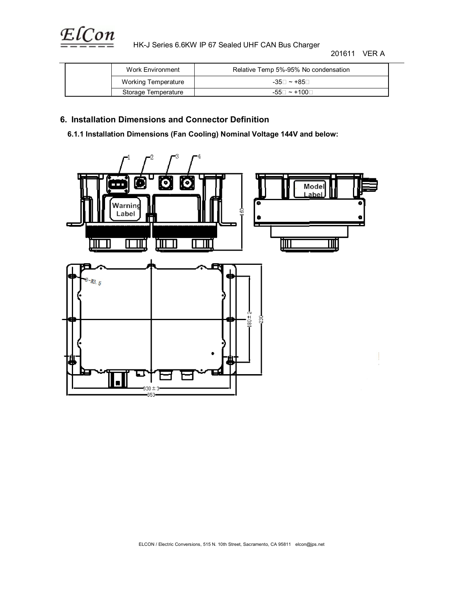

HK-J Series 6.6KW IP 67 Sealed UHF CAN Bus Charger

201611 VER A

| Work Environment    | Relative Temp 5%-95% No condensation |
|---------------------|--------------------------------------|
| Working Temperature | -35⊟ ~ +85⊟                          |
| Storage Temperature | $-55 \Box \sim +100 \Box$            |

# **6. Installation Dimensions and Connector Definition**

 **6.1.1 Installation Dimensions (Fan Cooling) Nominal Voltage 144V and below:** 

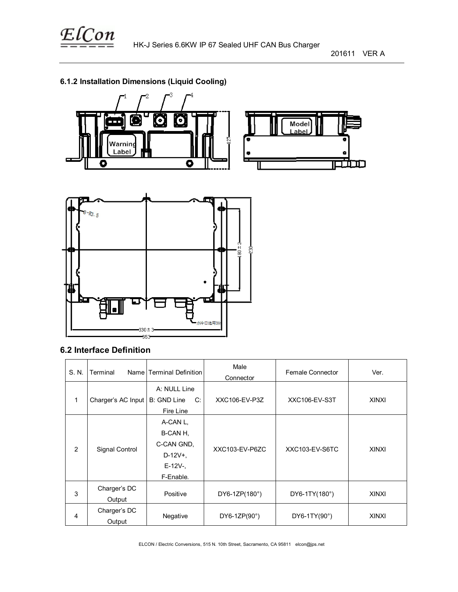

201611 VER A

# **6.1.2 Installation Dimensions (Liquid Cooling)**





# **6.2 Interface Definition**

| S. N.               | Terminal           | Name Terminal Definition | Male<br>Connector    | <b>Female Connector</b> | Ver.         |
|---------------------|--------------------|--------------------------|----------------------|-------------------------|--------------|
|                     |                    | A: NULL Line             |                      |                         |              |
| 1                   | Charger's AC Input | B: GND Line<br>C:        | XXC106-EV-P3Z        | <b>XXC106-EV-S3T</b>    | <b>XINXI</b> |
|                     |                    | Fire Line                |                      |                         |              |
|                     |                    | A-CAN L.                 |                      |                         |              |
|                     |                    | B-CAN H,                 |                      | XXC103-EV-S6TC          | <b>XINXI</b> |
| 2<br>Signal Control |                    | C-CAN GND.               | XXC103-EV-P6ZC       |                         |              |
|                     |                    | $D-12V+$ ,               |                      |                         |              |
|                     |                    | $E-12V-$                 |                      |                         |              |
|                     |                    | F-Enable.                |                      |                         |              |
|                     | Charger's DC       |                          |                      |                         |              |
| 3                   | Output             | Positive                 | DY6-1ZP(180°)        | DY6-1TY(180°)           | <b>XINXI</b> |
|                     | Charger's DC       |                          |                      |                         |              |
| 4<br>Output         |                    | Negative                 | DY6-1ZP $(90^\circ)$ | DY6-1TY(90°)            | <b>XINXI</b> |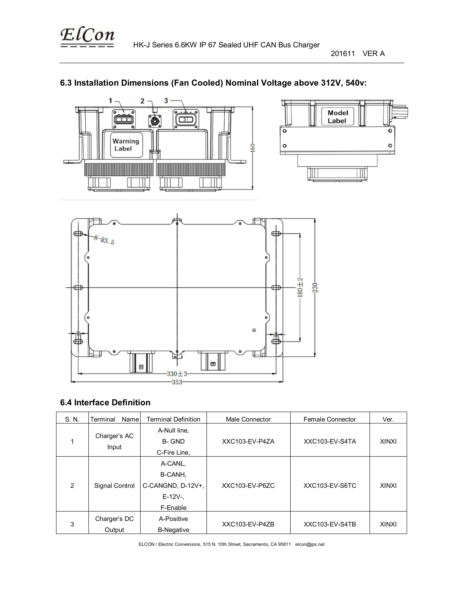

201611 VER A

# **6.3 Installation Dimensions (Fan Cooled) Nominal Voltage above 312V, 540v:**







# **6.4 Interface Definition**

| S. N.          | Name<br>Terminal       | <b>Terminal Definition</b>                                      | Male Connector | <b>Female Connector</b> | Ver.         |
|----------------|------------------------|-----------------------------------------------------------------|----------------|-------------------------|--------------|
|                | Charger's AC<br>Input  | A-Null line,<br>B- GND<br>C-Fire Line,                          | XXC103-EV-P4ZA | XXC103-EV-S4TA          | <b>XINXI</b> |
| $\overline{2}$ | Signal Control         | A-CANL,<br>B-CANH,<br>C-CANGND, D-12V+,<br>$E-12V-$<br>F-Enable | XXC103-EV-P6ZC | XXC103-EV-S6TC          | <b>XINXI</b> |
| 3              | Charger's DC<br>Output | A-Positive<br><b>B-Negative</b>                                 | XXC103-EV-P4ZB | XXC103-EV-S4TB          | <b>XINXI</b> |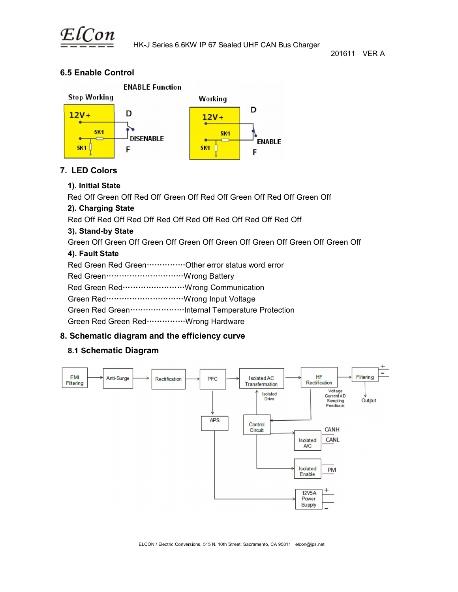

# **6.5 Enable Control**



# **7. LED Colors**

# **1). Initial State**

Red Off Green Off Red Off Green Off Red Off Green Off Red Off Green Off

# **2). Charging State**

Red Off Red Off Red Off Red Off Red Off Red Off Red Off Red Off

# **3). Stand-by State**

Green Off Green Off Green Off Green Off Green Off Green Off Green Off Green Off

# **4). Fault State**

| Red Green Red Green ·····················Other error status word error |  |
|------------------------------------------------------------------------|--|
|                                                                        |  |
|                                                                        |  |
|                                                                        |  |
|                                                                        |  |
| Green Red Green Red  Wrong Hardware                                    |  |
|                                                                        |  |

# **8. Schematic diagram and the efficiency curve**

# **8.1 Schematic Diagram**